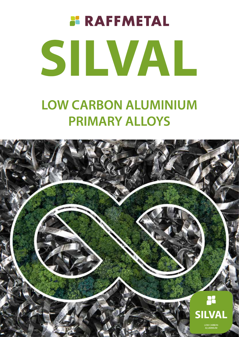# **BRAFFMETAL** SILVAL

## **LOW CARBON ALUMINIUM PRIMARY ALLOYS**

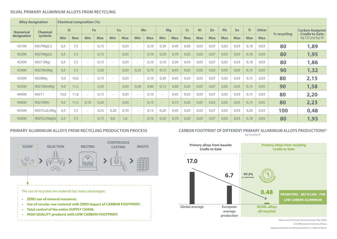#### **SILVAL PRIMARY ALUMINIUM ALLOYS FROM RECYCLING**

| <b>Alloy designation</b>        |                            | <b>Chemical composition (%)</b> |            |            |            |                          |            |                          |            |            |            |            |            |            |            |            |            |              |             |                                                   |
|---------------------------------|----------------------------|---------------------------------|------------|------------|------------|--------------------------|------------|--------------------------|------------|------------|------------|------------|------------|------------|------------|------------|------------|--------------|-------------|---------------------------------------------------|
| <b>Numerical</b><br>designation | <b>Chemical</b><br>symbols | <b>Si</b>                       |            | <b>Fe</b>  |            | <b>Cu</b>                |            | Mn                       |            | <b>Mg</b>  |            | <b>Cr</b>  | <b>Ni</b>  | Zn         | Pb         | Sn         | Ti .       | <b>Other</b> |             | <b>Carbon footprint</b>                           |
|                                 |                            | <b>Min</b>                      | <b>Max</b> | <b>Min</b> | <b>Max</b> | <b>Min</b>               | <b>Max</b> | <b>Min</b>               | <b>Max</b> | <b>Min</b> | <b>Max</b> | <b>Max</b> | <b>Max</b> | <b>Max</b> | <b>Max</b> | <b>Max</b> | <b>Max</b> | <b>Max</b>   | % recycling | - Cradle to Gate -<br>kg CO <sub>2</sub> eq/kg Al |
| 42100                           | AlSi7Mg0,3                 | 6,5                             | 7,5        |            | 0,15       | $\overline{\phantom{a}}$ | 0,03       | $\sim$                   | 0,10       | 0,30       | 0,45       | 0,03       | 0,03       | 0,07       | 0,03       | 0,03       | 0,18       | 0,03         | 80          | 1,89                                              |
| 42200                           | AlSi7Mg0,6                 | 6,5                             | 7,5        |            | 0,15       | $\overline{\phantom{a}}$ | 0,03       | $\overline{\phantom{a}}$ | 0,10       | 0,50       | 0,70       | 0,03       | 0,03       | 0,07       | 0,03       | 0,03       | 0,18       | 0,03         | 80          | 1,95                                              |
| 42300                           | AlSi7 (Mg)                 | 6,5                             | 7,5        | $\sim$     | 0,15       | $\sim$                   | 0,03       | $\sim$                   | 0,10       | 0,10       | 0,30       | 0,03       | 0,03       | 0,07       | 0,03       | 0,03       | 0,18       | 0,03         | 80          | 1,86                                              |
| 42400                           | AlSi7MnMg                  | 6,5                             | 7,5        | $\sim$     | 0,20       | $\sim$                   | 0,03       | 0,35                     | 0,75       | 0,15       | 0,45       | 0,05       | 0,05       | 0,03       | 0,05       | 0,05       | 0,15       | 0,05         | 90          | 1,32                                              |
| 43300                           | AlSi9Mg                    | 9,0                             | 10,0       | $\sim$     | 0,15       | $\sim$                   | 0,03       | $\sim$                   | 0,10       | 0,30       | 0,45       | 0,03       | 0,03       | 0,07       | 0,03       | 0,03       | 0,15       | 0,03         | 80          | 2,15                                              |
| 43500                           | AlSi10MnMg                 | 9,0                             | 11,5       | $\sim$     | 0,20       | $\sim$                   | 0,03       | 0,40                     | 0,80       | 0,15       | 0,60       | 0,05       | 0,05       | 0,07       | 0,05       | 0,05       | 0,15       | 0,05         | 90          | 1,58                                              |
| 44000                           | AlSi11                     | 10,0                            | 11,8       | $\sim$     | 0,15       | $\sim$                   | 0,03       | $\sim$                   | 0,10       | $\sim$     | 0,45       | 0,03       | 0,03       | 0,07       | 0,03       | 0,03       | 0,15       | 0,03         | 80          | 2,20                                              |
| 44600                           | AlSi10Mn                   | 9,5                             | 11,5       | 0,10       | 0,20       | $\sim$                   | 0,03       | $\sim$                   | 0,15       | $\sim$     | 0,15       | 0,05       | 0,05       | 0,03       | 0,05       | 0,05       | 0,15       | 0,05         | 80          | 2,23                                              |
| 45500                           | AlSi7Cu0,5Mg               | 6,5                             | 7,5        |            | 0,25       | 0,20                     | 0,70       | $\sim$                   | 0,15       | 0,20       | 0,45       | 0,03       | 0,03       | 0,07       | 0,03       | 0,03       | 0,20       | 0,03         | 100         | 0,48                                              |
| 45600                           | AlSi7Cu1Mg0,6              | 6,5                             | 7,5        |            | 0,15       | 0,8                      | 1,6        |                          | 0,10       | 0,50       | 0,70       | 0,03       | 0,03       | 0,07       | 0,03       | 0,03       | 0,18       | 0,03         | 80          | 1,93                                              |

#### **PRIMARY ALUMINIUM ALLOYS FROM RECYCLING PRODUCTION PROCESS**

#### **CARBON FOOTPRINT OF DIFFERENT PRIMARY ALUMINIUM ALLOYS PRODUCTIONS\***

(kg CO<sub>2</sub>eq/kg Al)



LCA Raffmetal and University of Siena, Database Ecoinvent 3.6, Software SimaPro 9.1.1, Method CML-IA.

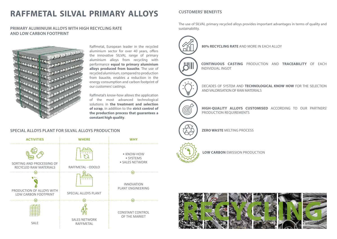#### **SPECIAL ALLOYS PLANT FOR SILVAL ALLOYS PRODUCTION**



### **RAFFMETAL SILVAL PRIMARY ALLOYS**

#### **PRIMARY ALUMINIUM ALLOYS WITH HIGH RECYCLING RATE AND LOW CARBON FOOTPRINT**



Raffmetal, European leader in the recycled aluminium sector for over 40 years, offers the innovative SILVAL range of primary aluminium alloys from recycling with performance **equal to primary aluminium alloys produced from bauxite**. The use of recycled aluminium, compared to production from bauxite, enables a reduction in the energy consumption and carbon footprint of our customers' castings.

Raffmetal's know-how allows the application of the most advanced technological solutions in **the treatment and selection of scrap**, in addition to the **strict control of the production process that guarantees a constant high quality**.

#### **CUSTOMERS' BENEFITS**

The use of SILVAL primary recycled alloys provides important advantages in terms of quality and sustainability.

**80% RECYCLING RATE** AND MORE IN EACH ALLOY